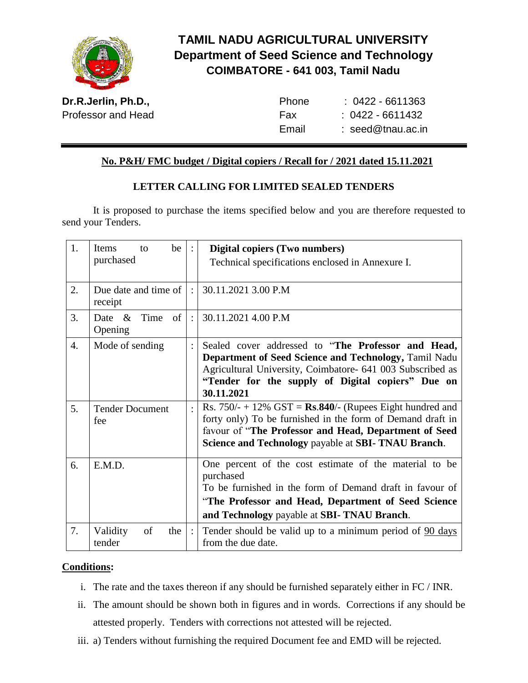

# **TAMIL NADU AGRICULTURAL UNIVERSITY Department of Seed Science and Technology COIMBATORE - 641 003, Tamil Nadu**

**Dr.R.Jerlin, Ph.D.,** Professor and Head

| Phone | $: 0422 - 6611363$  |
|-------|---------------------|
| Fax   | : 0422 - 6611432    |
| Email | $:$ seed@tnau.ac.in |

### **No. P&H/ FMC budget / Digital copiers / Recall for / 2021 dated 15.11.2021**

### **LETTER CALLING FOR LIMITED SEALED TENDERS**

It is proposed to purchase the items specified below and you are therefore requested to send your Tenders.

| 1. | be<br>Items<br>to                         |                           | Digital copiers (Two numbers)<br>Technical specifications enclosed in Annexure I.                                                                                                                                                            |  |
|----|-------------------------------------------|---------------------------|----------------------------------------------------------------------------------------------------------------------------------------------------------------------------------------------------------------------------------------------|--|
|    | purchased                                 |                           |                                                                                                                                                                                                                                              |  |
| 2. | Due date and time of<br>receipt           |                           | 30.11.2021 3.00 P.M                                                                                                                                                                                                                          |  |
| 3. | $\alpha$<br>Time<br>of<br>Date<br>Opening | $\mathbb{R}^{\mathbb{Z}}$ | 30.11.2021 4.00 P.M                                                                                                                                                                                                                          |  |
| 4. | Mode of sending                           |                           | Sealed cover addressed to "The Professor and Head,<br>Department of Seed Science and Technology, Tamil Nadu<br>Agricultural University, Coimbatore- 641 003 Subscribed as<br>"Tender for the supply of Digital copiers" Due on<br>30.11.2021 |  |
| 5. | <b>Tender Document</b><br>fee             | $\bullet$                 | Rs. $750/- + 12\%$ GST = Rs.840/- (Rupees Eight hundred and<br>forty only) To be furnished in the form of Demand draft in<br>favour of "The Professor and Head, Department of Seed<br>Science and Technology payable at SBI-TNAU Branch.     |  |
| 6. | E.M.D.                                    |                           | One percent of the cost estimate of the material to be<br>purchased<br>To be furnished in the form of Demand draft in favour of<br>"The Professor and Head, Department of Seed Science<br>and Technology payable at SBI-TNAU Branch.         |  |
| 7. | Validity<br>of<br>the<br>tender           | $\therefore$              | Tender should be valid up to a minimum period of 90 days<br>from the due date.                                                                                                                                                               |  |

#### **Conditions:**

- i. The rate and the taxes thereon if any should be furnished separately either in FC / INR.
- ii. The amount should be shown both in figures and in words. Corrections if any should be attested properly. Tenders with corrections not attested will be rejected.
- iii. a) Tenders without furnishing the required Document fee and EMD will be rejected.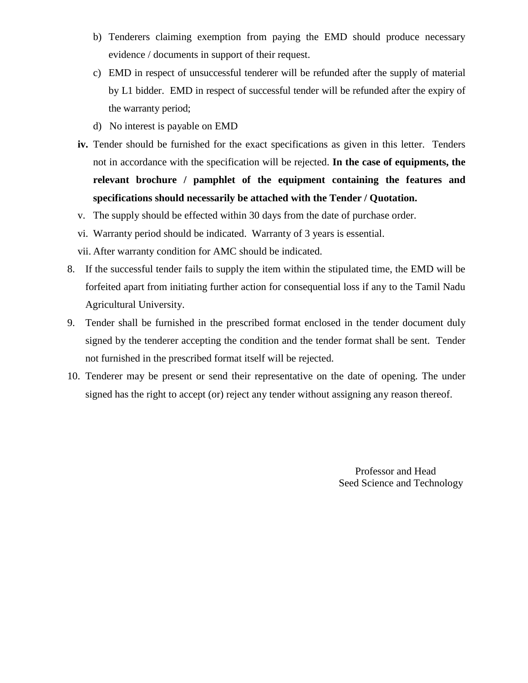- b) Tenderers claiming exemption from paying the EMD should produce necessary evidence / documents in support of their request.
- c) EMD in respect of unsuccessful tenderer will be refunded after the supply of material by L1 bidder. EMD in respect of successful tender will be refunded after the expiry of the warranty period;
- d) No interest is payable on EMD
- **iv.** Tender should be furnished for the exact specifications as given in this letter. Tenders not in accordance with the specification will be rejected. **In the case of equipments, the relevant brochure / pamphlet of the equipment containing the features and specifications should necessarily be attached with the Tender / Quotation.**
- v. The supply should be effected within 30 days from the date of purchase order.
- vi. Warranty period should be indicated. Warranty of 3 years is essential.
- vii. After warranty condition for AMC should be indicated.
- 8. If the successful tender fails to supply the item within the stipulated time, the EMD will be forfeited apart from initiating further action for consequential loss if any to the Tamil Nadu Agricultural University.
- 9. Tender shall be furnished in the prescribed format enclosed in the tender document duly signed by the tenderer accepting the condition and the tender format shall be sent. Tender not furnished in the prescribed format itself will be rejected.
- 10. Tenderer may be present or send their representative on the date of opening. The under signed has the right to accept (or) reject any tender without assigning any reason thereof.

Professor and Head Seed Science and Technology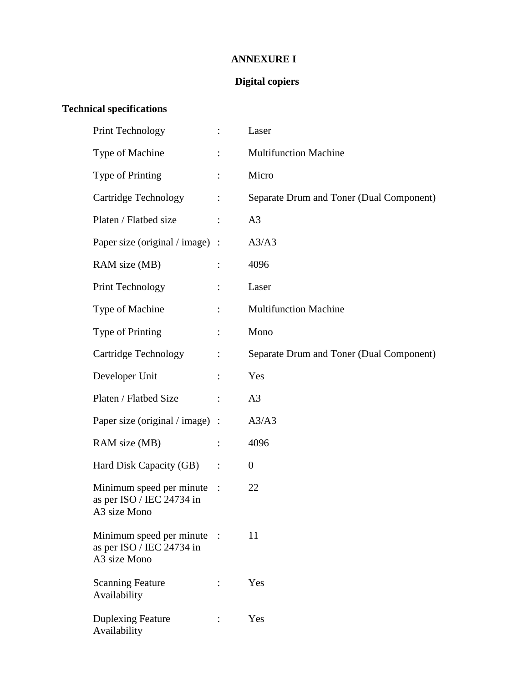### **ANNEXURE I**

### **Digital copiers**

## **Technical specifications**

| <b>Print Technology</b>                                                 | $\vdots$               | Laser                                    |
|-------------------------------------------------------------------------|------------------------|------------------------------------------|
| Type of Machine                                                         |                        | <b>Multifunction Machine</b>             |
| Type of Printing                                                        | $\ddot{\cdot}$         | Micro                                    |
| Cartridge Technology                                                    | $\ddot{\cdot}$         | Separate Drum and Toner (Dual Component) |
| Platen / Flatbed size                                                   | $\ddot{\cdot}$         | A <sub>3</sub>                           |
| Paper size (original / image) :                                         |                        | A3/A3                                    |
| RAM size (MB)                                                           |                        | 4096                                     |
| <b>Print Technology</b>                                                 | $\ddot{\cdot}$         | Laser                                    |
| Type of Machine                                                         | $\ddot{\cdot}$         | <b>Multifunction Machine</b>             |
| Type of Printing                                                        |                        | Mono                                     |
| Cartridge Technology                                                    | $\ddot{\cdot}$         | Separate Drum and Toner (Dual Component) |
| Developer Unit                                                          | $\ddot{\cdot}$         | Yes                                      |
| Platen / Flatbed Size                                                   |                        | A <sub>3</sub>                           |
| Paper size (original / image) :                                         |                        | A3/A3                                    |
| RAM size (MB)                                                           | $\ddot{\cdot}$         | 4096                                     |
| Hard Disk Capacity (GB)                                                 | :                      | $\boldsymbol{0}$                         |
| Minimum speed per minute<br>as per ISO / IEC 24734 in<br>A3 size Mono   | $\ddot{\phantom{1}}$ : | 22                                       |
| Minimum speed per minute :<br>as per ISO / IEC 24734 in<br>A3 size Mono |                        | 11                                       |
| <b>Scanning Feature</b><br>Availability                                 |                        | Yes                                      |
| <b>Duplexing Feature</b><br>Availability                                | $\ddot{\cdot}$         | Yes                                      |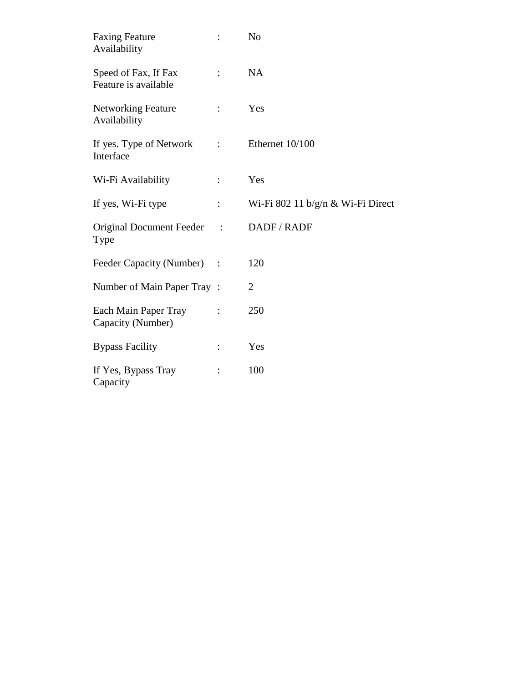| <b>Faxing Feature</b><br>Availability        | $\ddot{\cdot}$ | N <sub>o</sub>                    |
|----------------------------------------------|----------------|-----------------------------------|
| Speed of Fax, If Fax<br>Feature is available | $\ddot{\cdot}$ | <b>NA</b>                         |
| <b>Networking Feature</b><br>Availability    | $\ddot{\cdot}$ | Yes                               |
| If yes. Type of Network<br>Interface         | $\ddot{\cdot}$ | Ethernet 10/100                   |
| Wi-Fi Availability                           | $\ddot{\cdot}$ | Yes                               |
| If yes, Wi-Fi type                           | $\ddot{\cdot}$ | Wi-Fi 802 11 b/g/n & Wi-Fi Direct |
| <b>Original Document Feeder</b><br>Type      | $\mathbb{R}^2$ | DADF / RADF                       |
| Feeder Capacity (Number) :                   |                | 120                               |
| Number of Main Paper Tray:                   |                | $\overline{2}$                    |
| Each Main Paper Tray<br>Capacity (Number)    | $\ddot{\cdot}$ | 250                               |
| <b>Bypass Facility</b>                       | $\ddot{\cdot}$ | Yes                               |
| If Yes, Bypass Tray<br>Capacity              | $\ddot{\cdot}$ | 100                               |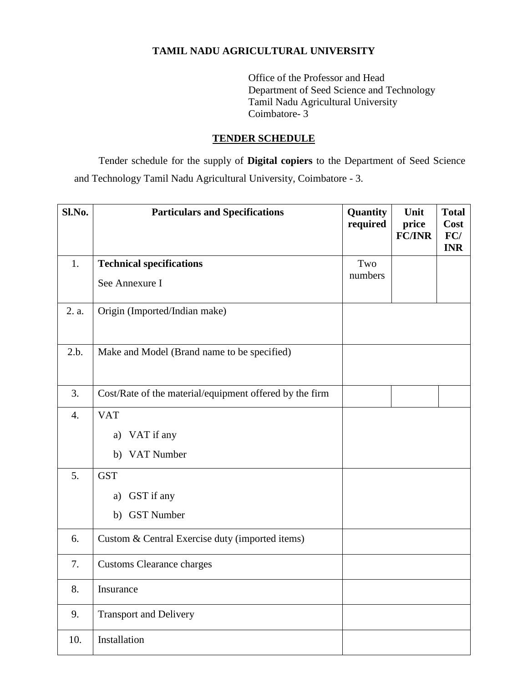#### **TAMIL NADU AGRICULTURAL UNIVERSITY**

Office of the Professor and Head Department of Seed Science and Technology Tamil Nadu Agricultural University Coimbatore- 3

#### **TENDER SCHEDULE**

Tender schedule for the supply of **Digital copiers** to the Department of Seed Science and Technology Tamil Nadu Agricultural University, Coimbatore - 3.

| Sl.No.           | <b>Particulars and Specifications</b>                   | Quantity<br>required | Unit<br>price<br><b>FC/INR</b> | <b>Total</b><br>Cost<br>FC/<br><b>INR</b> |
|------------------|---------------------------------------------------------|----------------------|--------------------------------|-------------------------------------------|
| 1.               | <b>Technical specifications</b>                         | Two                  |                                |                                           |
|                  | See Annexure I                                          | numbers              |                                |                                           |
| 2. a.            | Origin (Imported/Indian make)                           |                      |                                |                                           |
| 2.b.             | Make and Model (Brand name to be specified)             |                      |                                |                                           |
| 3.               | Cost/Rate of the material/equipment offered by the firm |                      |                                |                                           |
| $\overline{4}$ . | <b>VAT</b>                                              |                      |                                |                                           |
|                  | VAT if any<br>a)                                        |                      |                                |                                           |
|                  | b) VAT Number                                           |                      |                                |                                           |
| 5.               | <b>GST</b>                                              |                      |                                |                                           |
|                  | GST if any<br>a)                                        |                      |                                |                                           |
|                  | b) GST Number                                           |                      |                                |                                           |
| 6.               | Custom & Central Exercise duty (imported items)         |                      |                                |                                           |
| 7.               | <b>Customs Clearance charges</b>                        |                      |                                |                                           |
| 8.               | Insurance                                               |                      |                                |                                           |
| 9.               | <b>Transport and Delivery</b>                           |                      |                                |                                           |
| 10.              | Installation                                            |                      |                                |                                           |